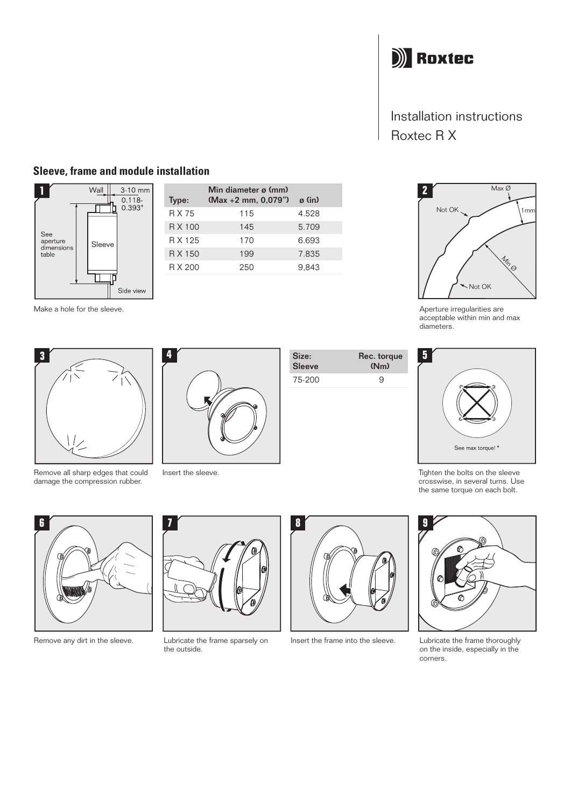

# Installation instructions Roxtec R X

## **Sleeve, frame and module installation**



| Type:   | Min diameter ø (mm)<br>$(Max + 2 mm, 0.079")$ | $\alpha$ (in) |  |
|---------|-----------------------------------------------|---------------|--|
| R X 75  | 115                                           | 4.528         |  |
| R X 100 | 145                                           | 5.709         |  |
| R X 125 | 170                                           | 6.693         |  |
| R X 150 | 199                                           | 7.835         |  |
| R X 200 | 250                                           | 9.843         |  |
|         |                                               |               |  |

Make a hole for the sleeve.



damage the compression rubber.



Remove any dirt in the sleeve.





Lubricate the frame sparsely on the outside.



Sleeve (Nm) 75-200 9

Insert the frame into the sleeve.



**4 5** Notified in equilable within min and max<br>diameters. Aperture irregularities are diameters.



Tighten the bolts on the sleeve crosswise, in several turns. Use the same torque on each bolt.



Lubricate the frame thoroughly on the inside, especially in the corners. **13**